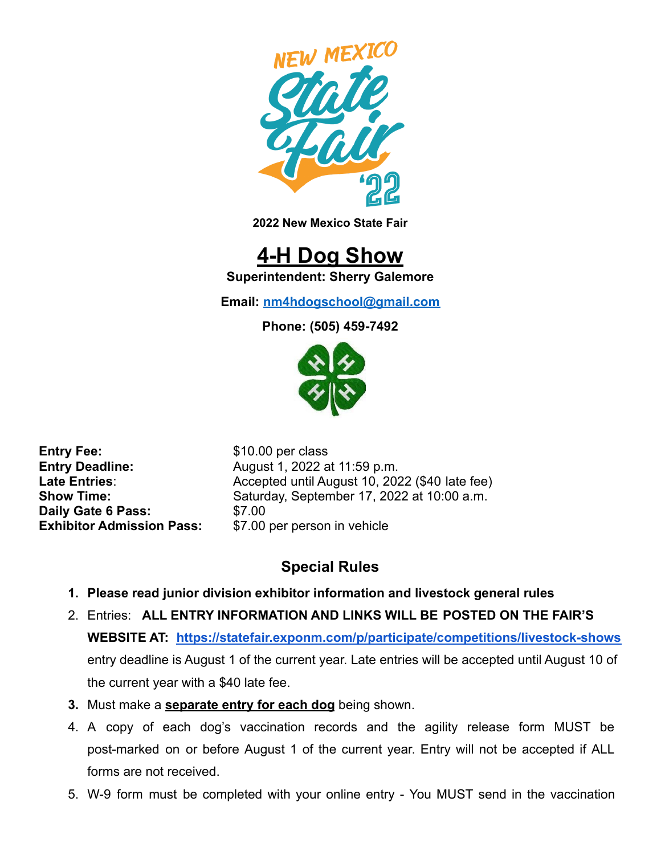

**2022 New Mexico State Fair**

# **4-H Dog Show**

**Superintendent: Sherry Galemore**

**Email: [nm4hdogschool@gmail.com](mailto:nm4hdogschool@gmail.com)**

**Phone: (505) 459-7492**



**Entry Fee:** \$10.00 per class **Daily Gate 6 Pass:** \$7.00 **Exhibitor Admission Pass:** \$7.00 per person in vehicle

**Entry Deadline:** August 1, 2022 at 11:59 p.m. Late Entries: **Accepted until August 10, 2022 (\$40 late fee)**<br>
Show Time: Saturday September 17, 2022 at 10:00 a.m. Saturday, September 17, 2022 at 10:00 a.m.

## **Special Rules**

- **1. Please read junior division exhibitor information and livestock general rules**
- 2. Entries: **ALL ENTRY INFORMATION AND LINKS WILL BE POSTED ON THE FAIR'S WEBSITE AT: <https://statefair.exponm.com/p/participate/competitions/livestock-shows>** entry deadline is August 1 of the current year. Late entries will be accepted until August 10 of the current year with a \$40 late fee.
- **3.** Must make a **separate entry for each dog** being shown.
- 4. A copy of each dog's vaccination records and the agility release form MUST be post-marked on or before August 1 of the current year. Entry will not be accepted if ALL forms are not received.
- 5. W-9 form must be completed with your online entry You MUST send in the vaccination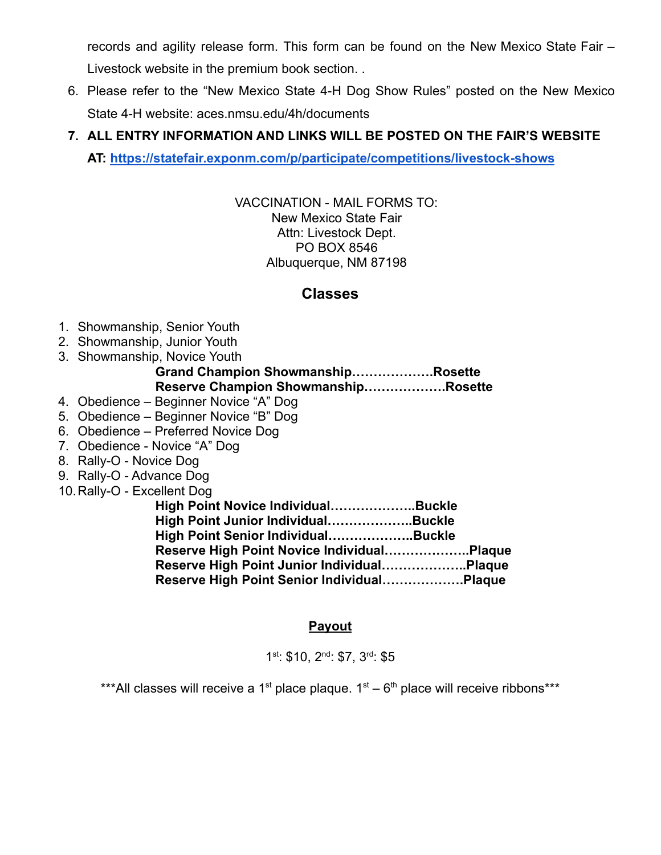records and agility release form. This form can be found on the New Mexico State Fair – Livestock website in the premium book section. .

6. Please refer to the "New Mexico State 4-H Dog Show Rules" posted on the New Mexico State 4-H website: aces.nmsu.edu/4h/documents

## **7. ALL ENTRY INFORMATION AND LINKS WILL BE POSTED ON THE FAIR'S WEBSITE**

**AT: <https://statefair.exponm.com/p/participate/competitions/livestock-shows>**

VACCINATION - MAIL FORMS TO: New Mexico State Fair Attn: Livestock Dept. PO BOX 8546 Albuquerque, NM 87198

### **Classes**

- 1. Showmanship, Senior Youth
- 2. Showmanship, Junior Youth
- 3. Showmanship, Novice Youth

#### **Grand Champion Showmanship……………….Rosette Reserve Champion Showmanship……………….Rosette**

- 4. Obedience Beginner Novice "A" Dog
- 5. Obedience Beginner Novice "B" Dog
- 6. Obedience Preferred Novice Dog
- 7. Obedience Novice "A" Dog
- 8. Rally-O Novice Dog
- 9. Rally-O Advance Dog
- 10.Rally-O Excellent Dog

| High Point Novice IndividualBuckle          |  |
|---------------------------------------------|--|
| High Point Junior IndividualBuckle          |  |
| High Point Senior IndividualBuckle          |  |
| Reserve High Point Novice Individual Plaque |  |
| Reserve High Point Junior Individual Plaque |  |
| Reserve High Point Senior IndividualPlaque  |  |

#### **Payout**

1<sup>st</sup>: \$10, 2<sup>nd</sup>: \$7, 3<sup>rd</sup>: \$5

\*\*\*All classes will receive a 1<sup>st</sup> place plaque.  $1<sup>st</sup> - 6<sup>th</sup>$  place will receive ribbons\*\*\*